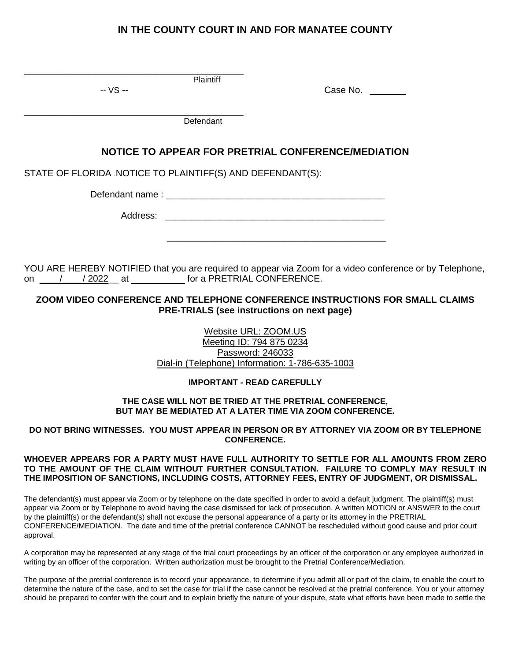# **IN THE COUNTY COURT IN AND FOR MANATEE COUNTY**

| Plaintiff<br>-- VS --                                                                                                                                                                    | Case No.                                         |  |
|------------------------------------------------------------------------------------------------------------------------------------------------------------------------------------------|--------------------------------------------------|--|
|                                                                                                                                                                                          |                                                  |  |
| Defendant                                                                                                                                                                                |                                                  |  |
| NOTICE TO APPEAR FOR PRETRIAL CONFERENCE/MEDIATION                                                                                                                                       |                                                  |  |
| STATE OF FLORIDA NOTICE TO PLAINTIFF(S) AND DEFENDANT(S):                                                                                                                                |                                                  |  |
|                                                                                                                                                                                          |                                                  |  |
|                                                                                                                                                                                          |                                                  |  |
|                                                                                                                                                                                          |                                                  |  |
| YOU ARE HEREBY NOTIFIED that you are required to appear via Zoom for a video conference or by Telephone,<br>ZOOM VIDEO CONFERENCE AND TELEPHONE CONFERENCE INSTRUCTIONS FOR SMALL CLAIMS |                                                  |  |
|                                                                                                                                                                                          | PRE-TRIALS (see instructions on next page)       |  |
|                                                                                                                                                                                          | Website URL: ZOOM.US<br>Meeting ID: 794 875 0234 |  |
|                                                                                                                                                                                          | Password: 246033                                 |  |
|                                                                                                                                                                                          | Dial-in (Telephone) Information: 1-786-635-1003  |  |
|                                                                                                                                                                                          | <b>IMPORTANT - READ CAREFULLY</b>                |  |
| THE CASE WILL NOT BE TRIED AT THE PRETRIAL CONFERENCE,<br><b>BUT MAY BE MEDIATED AT A LATER TIME VIA ZOOM CONFERENCE.</b>                                                                |                                                  |  |

**DO NOT BRING WITNESSES. YOU MUST APPEAR IN PERSON OR BY ATTORNEY VIA ZOOM OR BY TELEPHONE CONFERENCE.**

## **WHOEVER APPEARS FOR A PARTY MUST HAVE FULL AUTHORITY TO SETTLE FOR ALL AMOUNTS FROM ZERO TO THE AMOUNT OF THE CLAIM WITHOUT FURTHER CONSULTATION. FAILURE TO COMPLY MAY RESULT IN THE IMPOSITION OF SANCTIONS, INCLUDING COSTS, ATTORNEY FEES, ENTRY OF JUDGMENT, OR DISMISSAL.**

The defendant(s) must appear via Zoom or by telephone on the date specified in order to avoid a default judgment. The plaintiff(s) must appear via Zoom or by Telephone to avoid having the case dismissed for lack of prosecution. A written MOTION or ANSWER to the court by the plaintiff(s) or the defendant(s) shall not excuse the personal appearance of a party or its attorney in the PRETRIAL CONFERENCE/MEDIATION. The date and time of the pretrial conference CANNOT be rescheduled without good cause and prior court approval.

A corporation may be represented at any stage of the trial court proceedings by an officer of the corporation or any employee authorized in writing by an officer of the corporation. Written authorization must be brought to the Pretrial Conference/Mediation.

The purpose of the pretrial conference is to record your appearance, to determine if you admit all or part of the claim, to enable the court to determine the nature of the case, and to set the case for trial if the case cannot be resolved at the pretrial conference. You or your attorney should be prepared to confer with the court and to explain briefly the nature of your dispute, state what efforts have been made to settle the